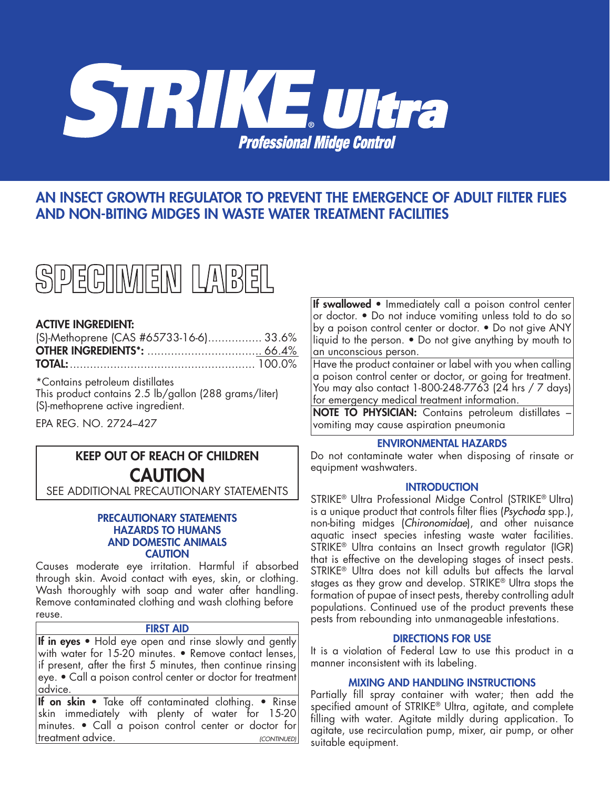

# AN INSECT GROWTH REGULATOR TO PREVENT THE EMERGENCE OF ADULT FILTER FLIES AND NON-BITING MIDGES IN WASTE WATER TREATMENT FACILITIES



# ACTIVE INGREDIENT:

| (S)-Methoprene (CAS #65733-16-6) 33.6% |  |
|----------------------------------------|--|
|                                        |  |
|                                        |  |

\*Contains petroleum distillates This product contains 2.5 lb/gallon (288 grams/liter) (S)-methoprene active ingredient.

EPA REG. NO. 2724–427

# KEEP OUT OF REACH OF CHILDREN **CAUTION**

SEE ADDITIONAL PRECAUTIONARY STATEMENTS

#### PRECAUTIONARY STATEMENTS HAZARDS TO HUMANS AND DOMESTIC ANIMALS **CAUTION**

Causes moderate eye irritation. Harmful if absorbed through skin. Avoid contact with eyes, skin, or clothing. Wash thoroughly with soap and water after handling. Remove contaminated clothing and wash clothing before reuse.

### FIRST AID

If in eyes • Hold eye open and rinse slowly and gently with water for 15-20 minutes. • Remove contact lenses, if present, after the first 5 minutes, then continue rinsing eye. • Call a poison control center or doctor for treatment advice.

If on skin • Take off contaminated clothing. • Rinse skin immediately with plenty of water for 15-20 minutes. • Call a poison control center or doctor for treatment advice. *(CONTINUED)* If swallowed • Immediately call a poison control center or doctor. • Do not induce vomiting unless told to do so by a poison control center or doctor. • Do not give ANY liquid to the person. • Do not give anything by mouth to an unconscious person.

Have the product container or label with you when calling a poison control center or doctor, or going for treatment. You may also contact 1-800-248-7763 (24 hrs / 7 days) for emergency medical treatment information.

NOTE TO PHYSICIAN: Contains petroleum distillates – vomiting may cause aspiration pneumonia

# ENVIRONMENTAL HAZARDS

Do not contaminate water when disposing of rinsate or equipment washwaters.

#### **INTRODUCTION**

STRIKE® Ultra Professional Midge Control (STRIKE® Ultra) is a unique product that controls filter flies (*Psychoda* spp.), non-biting midges (*Chironomidae*), and other nuisance aquatic insect species infesting waste water facilities. STRIKE® Ultra contains an Insect growth regulator (IGR) that is effective on the developing stages of insect pests. STRIKE<sup>®</sup> Ultra does not kill adults but affects the larval stages as they grow and develop. STRIKE® Ultra stops the formation of pupae of insect pests, thereby controlling adult populations. Continued use of the product prevents these pests from rebounding into unmanageable infestations.

# DIRECTIONS FOR USE

It is a violation of Federal Law to use this product in a manner inconsistent with its labeling.

## MIXING AND HANDLING INSTRUCTIONS

Partially fill spray container with water; then add the specified amount of STRIKE® Ultra, agitate, and complete filling with water. Agitate mildly during application. To agitate, use recirculation pump, mixer, air pump, or other suitable equipment.